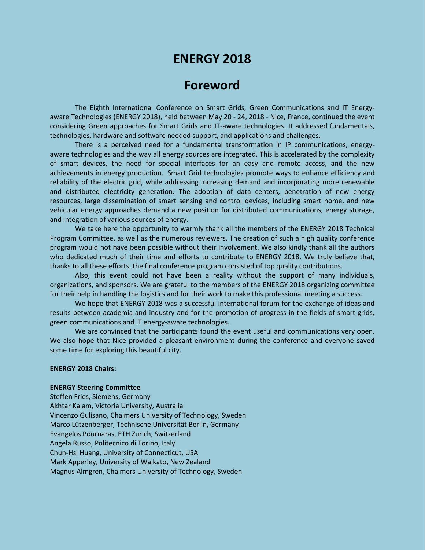# **ENERGY 2018**

## **Foreword**

The Eighth International Conference on Smart Grids, Green Communications and IT Energyaware Technologies (ENERGY 2018), held between May 20 - 24, 2018 - Nice, France, continued the event considering Green approaches for Smart Grids and IT-aware technologies. It addressed fundamentals, technologies, hardware and software needed support, and applications and challenges.

There is a perceived need for a fundamental transformation in IP communications, energyaware technologies and the way all energy sources are integrated. This is accelerated by the complexity of smart devices, the need for special interfaces for an easy and remote access, and the new achievements in energy production. Smart Grid technologies promote ways to enhance efficiency and reliability of the electric grid, while addressing increasing demand and incorporating more renewable and distributed electricity generation. The adoption of data centers, penetration of new energy resources, large dissemination of smart sensing and control devices, including smart home, and new vehicular energy approaches demand a new position for distributed communications, energy storage, and integration of various sources of energy.

We take here the opportunity to warmly thank all the members of the ENERGY 2018 Technical Program Committee, as well as the numerous reviewers. The creation of such a high quality conference program would not have been possible without their involvement. We also kindly thank all the authors who dedicated much of their time and efforts to contribute to ENERGY 2018. We truly believe that, thanks to all these efforts, the final conference program consisted of top quality contributions.

Also, this event could not have been a reality without the support of many individuals, organizations, and sponsors. We are grateful to the members of the ENERGY 2018 organizing committee for their help in handling the logistics and for their work to make this professional meeting a success.

We hope that ENERGY 2018 was a successful international forum for the exchange of ideas and results between academia and industry and for the promotion of progress in the fields of smart grids, green communications and IT energy-aware technologies.

We are convinced that the participants found the event useful and communications very open. We also hope that Nice provided a pleasant environment during the conference and everyone saved some time for exploring this beautiful city.

#### **ENERGY 2018 Chairs:**

#### **ENERGY Steering Committee**

Steffen Fries, Siemens, Germany Akhtar Kalam, Victoria University, Australia Vincenzo Gulisano, Chalmers University of Technology, Sweden Marco Lützenberger, Technische Universität Berlin, Germany Evangelos Pournaras, ETH Zurich, Switzerland Angela Russo, Politecnico di Torino, Italy Chun-Hsi Huang, University of Connecticut, USA Mark Apperley, University of Waikato, New Zealand Magnus Almgren, Chalmers University of Technology, Sweden